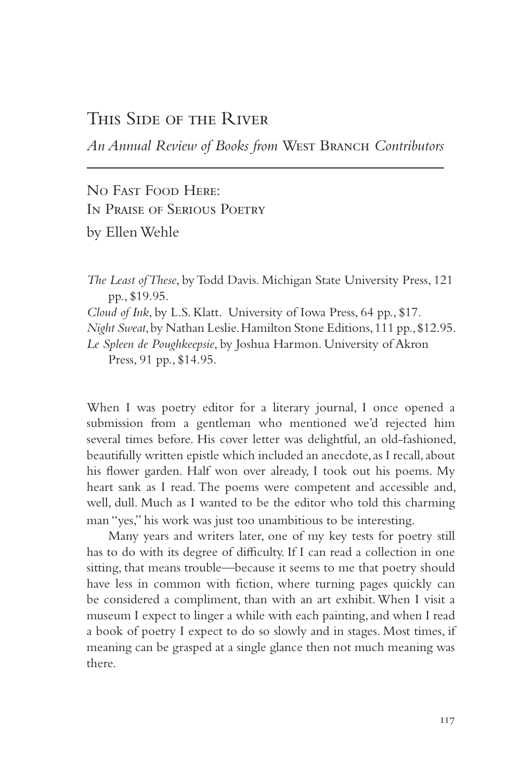## This Side of the River

*An Annual Review of Books from* West Branch *Contributors*

No Fast Food Here: In Praise of Serious Poetry by Ellen Wehle

*The Least of These*, by Todd Davis. Michigan State University Press, 121 pp., \$19.95.

*Cloud of Ink*, by L.S. Klatt. University of Iowa Press, 64 pp., \$17.

*Night Sweat*, by Nathan Leslie. Hamilton Stone Editions, 111 pp., \$12.95.

*Le Spleen de Poughkeepsie*, by Joshua Harmon. University of Akron Press, 91 pp., \$14.95.

When I was poetry editor for a literary journal, I once opened a submission from a gentleman who mentioned we'd rejected him several times before. His cover letter was delightful, an old-fashioned, beautifully written epistle which included an anecdote, as I recall, about his flower garden. Half won over already, I took out his poems. My heart sank as I read. The poems were competent and accessible and, well, dull. Much as I wanted to be the editor who told this charming man "yes," his work was just too unambitious to be interesting.

Many years and writers later, one of my key tests for poetry still has to do with its degree of difficulty. If I can read a collection in one sitting, that means trouble—because it seems to me that poetry should have less in common with fiction, where turning pages quickly can be considered a compliment, than with an art exhibit. When I visit a museum I expect to linger a while with each painting, and when I read a book of poetry I expect to do so slowly and in stages. Most times, if meaning can be grasped at a single glance then not much meaning was there.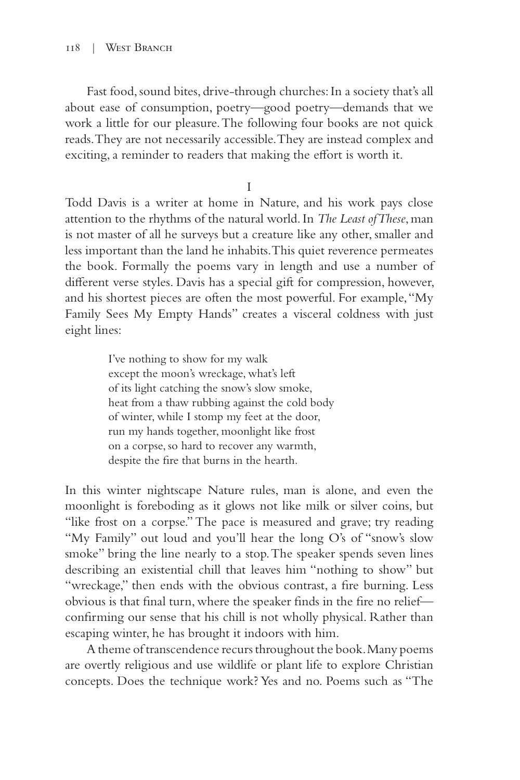Fast food, sound bites, drive-through churches: In a society that's all about ease of consumption, poetry—good poetry—demands that we work a little for our pleasure. The following four books are not quick reads. They are not necessarily accessible. They are instead complex and exciting, a reminder to readers that making the effort is worth it.

I

Todd Davis is a writer at home in Nature, and his work pays close attention to the rhythms of the natural world. In *The Least of These*, man is not master of all he surveys but a creature like any other, smaller and less important than the land he inhabits. This quiet reverence permeates the book. Formally the poems vary in length and use a number of different verse styles. Davis has a special gift for compression, however, and his shortest pieces are often the most powerful. For example, "My Family Sees My Empty Hands" creates a visceral coldness with just eight lines:

> I've nothing to show for my walk except the moon's wreckage, what's left of its light catching the snow's slow smoke, heat from a thaw rubbing against the cold body of winter, while I stomp my feet at the door, run my hands together, moonlight like frost on a corpse, so hard to recover any warmth, despite the fire that burns in the hearth.

In this winter nightscape Nature rules, man is alone, and even the moonlight is foreboding as it glows not like milk or silver coins, but "like frost on a corpse." The pace is measured and grave; try reading "My Family" out loud and you'll hear the long O's of "snow's slow smoke" bring the line nearly to a stop. The speaker spends seven lines describing an existential chill that leaves him "nothing to show" but "wreckage," then ends with the obvious contrast, a fire burning. Less obvious is that final turn, where the speaker finds in the fire no relief confirming our sense that his chill is not wholly physical. Rather than escaping winter, he has brought it indoors with him.

A theme of transcendence recurs throughout the book. Many poems are overtly religious and use wildlife or plant life to explore Christian concepts. Does the technique work? Yes and no. Poems such as "The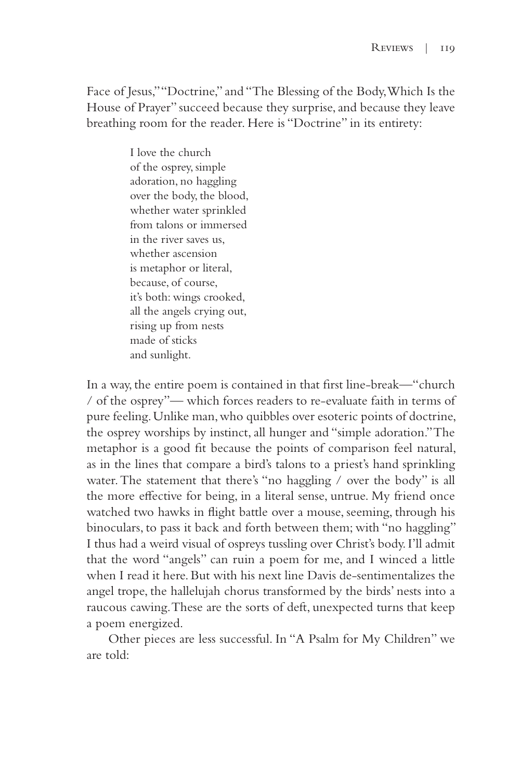Face of Jesus," "Doctrine," and "The Blessing of the Body, Which Is the House of Prayer" succeed because they surprise, and because they leave breathing room for the reader. Here is "Doctrine" in its entirety:

> I love the church of the osprey, simple adoration, no haggling over the body, the blood, whether water sprinkled from talons or immersed in the river saves us, whether ascension is metaphor or literal, because, of course, it's both: wings crooked, all the angels crying out, rising up from nests made of sticks and sunlight.

In a way, the entire poem is contained in that first line-break—"church / of the osprey"— which forces readers to re-evaluate faith in terms of pure feeling. Unlike man, who quibbles over esoteric points of doctrine, the osprey worships by instinct, all hunger and "simple adoration." The metaphor is a good fit because the points of comparison feel natural, as in the lines that compare a bird's talons to a priest's hand sprinkling water. The statement that there's "no haggling / over the body" is all the more effective for being, in a literal sense, untrue. My friend once watched two hawks in flight battle over a mouse, seeming, through his binoculars, to pass it back and forth between them; with "no haggling" I thus had a weird visual of ospreys tussling over Christ's body. I'll admit that the word "angels" can ruin a poem for me, and I winced a little when I read it here. But with his next line Davis de-sentimentalizes the angel trope, the hallelujah chorus transformed by the birds' nests into a raucous cawing. These are the sorts of deft, unexpected turns that keep a poem energized.

Other pieces are less successful. In "A Psalm for My Children" we are told: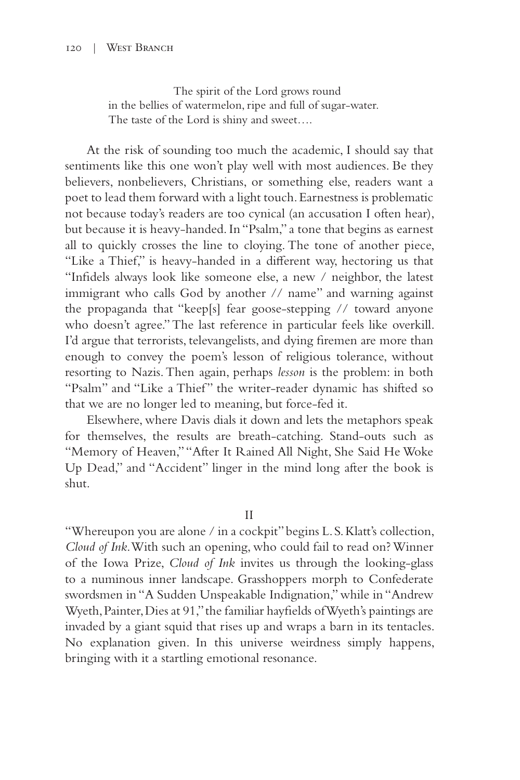## 120 | West Branch

 The spirit of the Lord grows round in the bellies of watermelon, ripe and full of sugar-water. The taste of the Lord is shiny and sweet….

At the risk of sounding too much the academic, I should say that sentiments like this one won't play well with most audiences. Be they believers, nonbelievers, Christians, or something else, readers want a poet to lead them forward with a light touch. Earnestness is problematic not because today's readers are too cynical (an accusation I often hear), but because it is heavy-handed. In "Psalm," a tone that begins as earnest all to quickly crosses the line to cloying. The tone of another piece, "Like a Thief," is heavy-handed in a different way, hectoring us that "Infidels always look like someone else, a new / neighbor, the latest immigrant who calls God by another // name" and warning against the propaganda that "keep[s] fear goose-stepping // toward anyone who doesn't agree." The last reference in particular feels like overkill. I'd argue that terrorists, televangelists, and dying firemen are more than enough to convey the poem's lesson of religious tolerance, without resorting to Nazis. Then again, perhaps *lesson* is the problem: in both "Psalm" and "Like a Thief" the writer-reader dynamic has shifted so that we are no longer led to meaning, but force-fed it.

Elsewhere, where Davis dials it down and lets the metaphors speak for themselves, the results are breath-catching. Stand-outs such as "Memory of Heaven," "After It Rained All Night, She Said He Woke Up Dead," and "Accident" linger in the mind long after the book is shut.

II

"Whereupon you are alone / in a cockpit" begins L. S. Klatt's collection, *Cloud of Ink*. With such an opening, who could fail to read on? Winner of the Iowa Prize, *Cloud of Ink* invites us through the looking-glass to a numinous inner landscape. Grasshoppers morph to Confederate swordsmen in "A Sudden Unspeakable Indignation," while in "Andrew Wyeth, Painter, Dies at 91," the familiar hayfields of Wyeth's paintings are invaded by a giant squid that rises up and wraps a barn in its tentacles. No explanation given. In this universe weirdness simply happens, bringing with it a startling emotional resonance.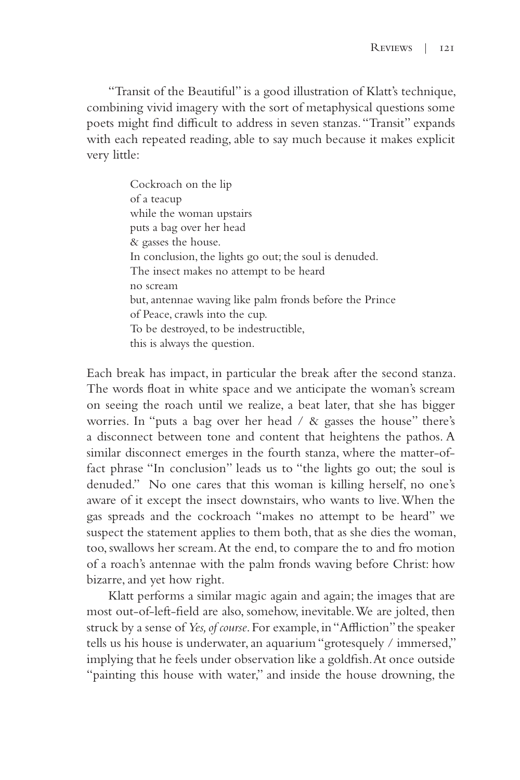"Transit of the Beautiful" is a good illustration of Klatt's technique, combining vivid imagery with the sort of metaphysical questions some poets might find difficult to address in seven stanzas. "Transit" expands with each repeated reading, able to say much because it makes explicit very little:

> Cockroach on the lip of a teacup while the woman upstairs puts a bag over her head & gasses the house. In conclusion, the lights go out; the soul is denuded. The insect makes no attempt to be heard no scream but, antennae waving like palm fronds before the Prince of Peace, crawls into the cup. To be destroyed, to be indestructible, this is always the question.

Each break has impact, in particular the break after the second stanza. The words float in white space and we anticipate the woman's scream on seeing the roach until we realize, a beat later, that she has bigger worries. In "puts a bag over her head / & gasses the house" there's a disconnect between tone and content that heightens the pathos. A similar disconnect emerges in the fourth stanza, where the matter-offact phrase "In conclusion" leads us to "the lights go out; the soul is denuded." No one cares that this woman is killing herself, no one's aware of it except the insect downstairs, who wants to live. When the gas spreads and the cockroach "makes no attempt to be heard" we suspect the statement applies to them both, that as she dies the woman, too, swallows her scream. At the end, to compare the to and fro motion of a roach's antennae with the palm fronds waving before Christ: how bizarre, and yet how right.

Klatt performs a similar magic again and again; the images that are most out-of-left-field are also, somehow, inevitable. We are jolted, then struck by a sense of *Yes, of course*. For example, in "Affliction" the speaker tells us his house is underwater, an aquarium "grotesquely / immersed," implying that he feels under observation like a goldfish. At once outside "painting this house with water," and inside the house drowning, the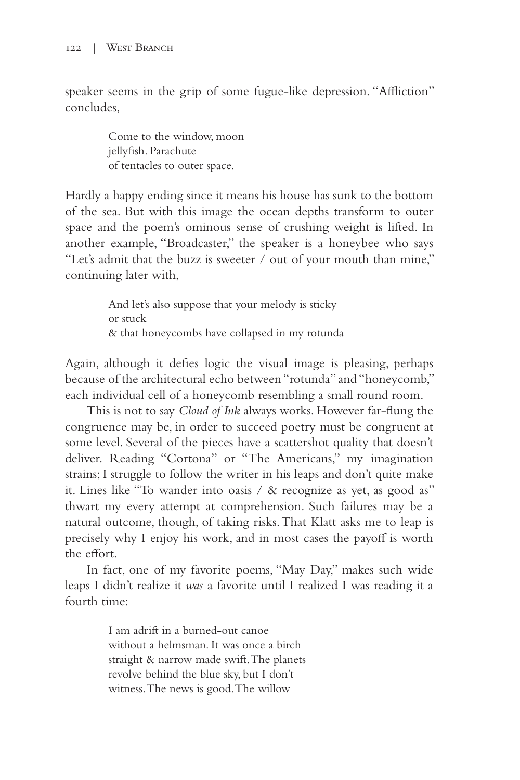speaker seems in the grip of some fugue-like depression. "Affliction" concludes,

> Come to the window, moon jellyfish. Parachute of tentacles to outer space.

Hardly a happy ending since it means his house has sunk to the bottom of the sea. But with this image the ocean depths transform to outer space and the poem's ominous sense of crushing weight is lifted. In another example, "Broadcaster," the speaker is a honeybee who says "Let's admit that the buzz is sweeter / out of your mouth than mine," continuing later with,

> And let's also suppose that your melody is sticky or stuck & that honeycombs have collapsed in my rotunda

Again, although it defies logic the visual image is pleasing, perhaps because of the architectural echo between "rotunda" and "honeycomb," each individual cell of a honeycomb resembling a small round room.

This is not to say *Cloud of Ink* always works. However far-flung the congruence may be, in order to succeed poetry must be congruent at some level. Several of the pieces have a scattershot quality that doesn't deliver. Reading "Cortona" or "The Americans," my imagination strains; I struggle to follow the writer in his leaps and don't quite make it. Lines like "To wander into oasis / & recognize as yet, as good as" thwart my every attempt at comprehension. Such failures may be a natural outcome, though, of taking risks. That Klatt asks me to leap is precisely why I enjoy his work, and in most cases the payoff is worth the effort.

In fact, one of my favorite poems, "May Day," makes such wide leaps I didn't realize it *was* a favorite until I realized I was reading it a fourth time:

> I am adrift in a burned-out canoe without a helmsman. It was once a birch straight & narrow made swift. The planets revolve behind the blue sky, but I don't witness. The news is good. The willow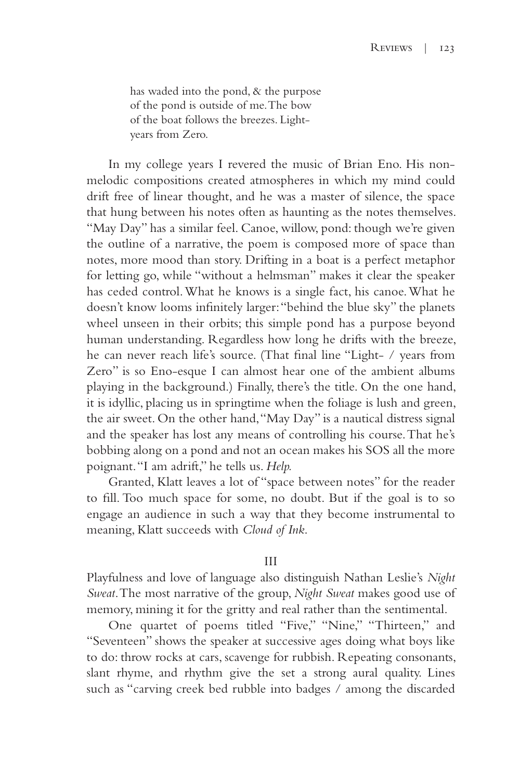has waded into the pond, & the purpose of the pond is outside of me. The bow of the boat follows the breezes. Lightyears from Zero.

In my college years I revered the music of Brian Eno. His nonmelodic compositions created atmospheres in which my mind could drift free of linear thought, and he was a master of silence, the space that hung between his notes often as haunting as the notes themselves. "May Day" has a similar feel. Canoe, willow, pond: though we're given the outline of a narrative, the poem is composed more of space than notes, more mood than story. Drifting in a boat is a perfect metaphor for letting go, while "without a helmsman" makes it clear the speaker has ceded control. What he knows is a single fact, his canoe. What he doesn't know looms infinitely larger: "behind the blue sky" the planets wheel unseen in their orbits; this simple pond has a purpose beyond human understanding. Regardless how long he drifts with the breeze, he can never reach life's source. (That final line "Light- / years from Zero" is so Eno-esque I can almost hear one of the ambient albums playing in the background.) Finally, there's the title. On the one hand, it is idyllic, placing us in springtime when the foliage is lush and green, the air sweet. On the other hand, "May Day" is a nautical distress signal and the speaker has lost any means of controlling his course. That he's bobbing along on a pond and not an ocean makes his SOS all the more poignant. "I am adrift," he tells us. *Help.* 

Granted, Klatt leaves a lot of "space between notes" for the reader to fill. Too much space for some, no doubt. But if the goal is to so engage an audience in such a way that they become instrumental to meaning, Klatt succeeds with *Cloud of Ink*.

## III

Playfulness and love of language also distinguish Nathan Leslie's *Night Sweat*. The most narrative of the group, *Night Sweat* makes good use of memory, mining it for the gritty and real rather than the sentimental.

One quartet of poems titled "Five," "Nine," "Thirteen," and "Seventeen" shows the speaker at successive ages doing what boys like to do: throw rocks at cars, scavenge for rubbish. Repeating consonants, slant rhyme, and rhythm give the set a strong aural quality. Lines such as "carving creek bed rubble into badges / among the discarded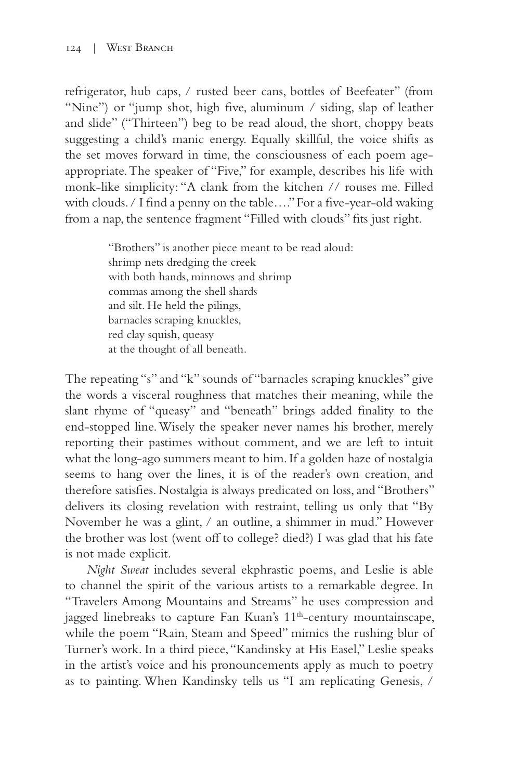refrigerator, hub caps, / rusted beer cans, bottles of Beefeater" (from "Nine") or "jump shot, high five, aluminum / siding, slap of leather and slide" ("Thirteen") beg to be read aloud, the short, choppy beats suggesting a child's manic energy. Equally skillful, the voice shifts as the set moves forward in time, the consciousness of each poem ageappropriate. The speaker of "Five," for example, describes his life with monk-like simplicity: "A clank from the kitchen // rouses me. Filled with clouds. / I find a penny on the table…." For a five-year-old waking from a nap, the sentence fragment "Filled with clouds" fits just right.

> "Brothers" is another piece meant to be read aloud: shrimp nets dredging the creek with both hands, minnows and shrimp commas among the shell shards and silt. He held the pilings, barnacles scraping knuckles, red clay squish, queasy at the thought of all beneath.

The repeating "s" and "k" sounds of "barnacles scraping knuckles" give the words a visceral roughness that matches their meaning, while the slant rhyme of "queasy" and "beneath" brings added finality to the end-stopped line. Wisely the speaker never names his brother, merely reporting their pastimes without comment, and we are left to intuit what the long-ago summers meant to him. If a golden haze of nostalgia seems to hang over the lines, it is of the reader's own creation, and therefore satisfies. Nostalgia is always predicated on loss, and "Brothers" delivers its closing revelation with restraint, telling us only that "By November he was a glint, / an outline, a shimmer in mud." However the brother was lost (went off to college? died?) I was glad that his fate is not made explicit.

*Night Sweat* includes several ekphrastic poems, and Leslie is able to channel the spirit of the various artists to a remarkable degree. In "Travelers Among Mountains and Streams" he uses compression and jagged linebreaks to capture Fan Kuan's 11<sup>th</sup>-century mountainscape, while the poem "Rain, Steam and Speed" mimics the rushing blur of Turner's work. In a third piece, "Kandinsky at His Easel," Leslie speaks in the artist's voice and his pronouncements apply as much to poetry as to painting. When Kandinsky tells us "I am replicating Genesis, /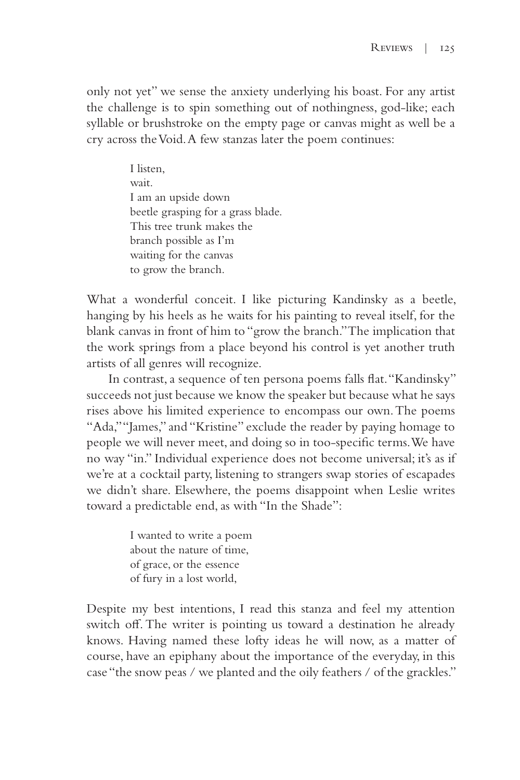only not yet" we sense the anxiety underlying his boast. For any artist the challenge is to spin something out of nothingness, god-like; each syllable or brushstroke on the empty page or canvas might as well be a cry across the Void. A few stanzas later the poem continues:

> I listen, wait. I am an upside down beetle grasping for a grass blade. This tree trunk makes the branch possible as I'm waiting for the canvas to grow the branch.

What a wonderful conceit. I like picturing Kandinsky as a beetle, hanging by his heels as he waits for his painting to reveal itself, for the blank canvas in front of him to "grow the branch." The implication that the work springs from a place beyond his control is yet another truth artists of all genres will recognize.

In contrast, a sequence of ten persona poems falls flat. "Kandinsky" succeeds not just because we know the speaker but because what he says rises above his limited experience to encompass our own. The poems "Ada," "James," and "Kristine" exclude the reader by paying homage to people we will never meet, and doing so in too-specific terms. We have no way "in." Individual experience does not become universal; it's as if we're at a cocktail party, listening to strangers swap stories of escapades we didn't share. Elsewhere, the poems disappoint when Leslie writes toward a predictable end, as with "In the Shade":

> I wanted to write a poem about the nature of time, of grace, or the essence of fury in a lost world,

Despite my best intentions, I read this stanza and feel my attention switch off. The writer is pointing us toward a destination he already knows. Having named these lofty ideas he will now, as a matter of course, have an epiphany about the importance of the everyday, in this case "the snow peas / we planted and the oily feathers / of the grackles."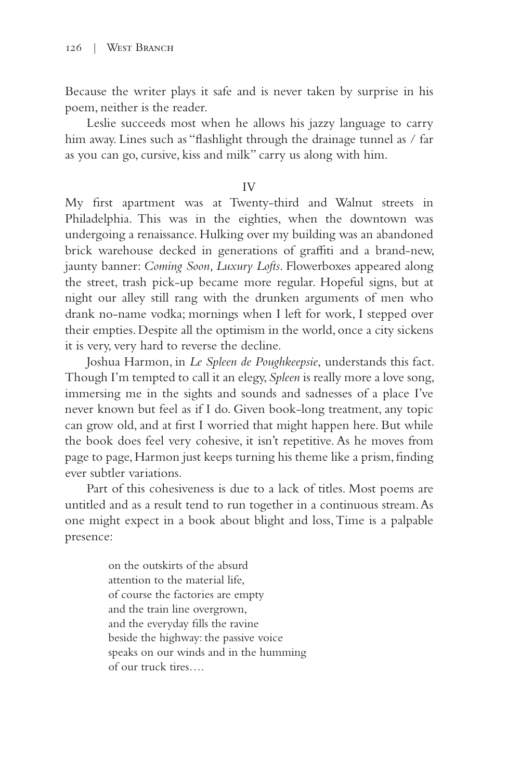Because the writer plays it safe and is never taken by surprise in his poem, neither is the reader.

Leslie succeeds most when he allows his jazzy language to carry him away. Lines such as "flashlight through the drainage tunnel as / far as you can go, cursive, kiss and milk" carry us along with him.

## IV

My first apartment was at Twenty-third and Walnut streets in Philadelphia. This was in the eighties, when the downtown was undergoing a renaissance. Hulking over my building was an abandoned brick warehouse decked in generations of graffiti and a brand-new, jaunty banner: *Coming Soon, Luxury Lofts*. Flowerboxes appeared along the street, trash pick-up became more regular. Hopeful signs, but at night our alley still rang with the drunken arguments of men who drank no-name vodka; mornings when I left for work, I stepped over their empties. Despite all the optimism in the world, once a city sickens it is very, very hard to reverse the decline.

Joshua Harmon, in *Le Spleen de Poughkeepsie*, understands this fact. Though I'm tempted to call it an elegy, *Spleen* is really more a love song, immersing me in the sights and sounds and sadnesses of a place I've never known but feel as if I do. Given book-long treatment, any topic can grow old, and at first I worried that might happen here. But while the book does feel very cohesive, it isn't repetitive. As he moves from page to page, Harmon just keeps turning his theme like a prism, finding ever subtler variations.

Part of this cohesiveness is due to a lack of titles. Most poems are untitled and as a result tend to run together in a continuous stream. As one might expect in a book about blight and loss, Time is a palpable presence:

> on the outskirts of the absurd attention to the material life, of course the factories are empty and the train line overgrown, and the everyday fills the ravine beside the highway: the passive voice speaks on our winds and in the humming of our truck tires….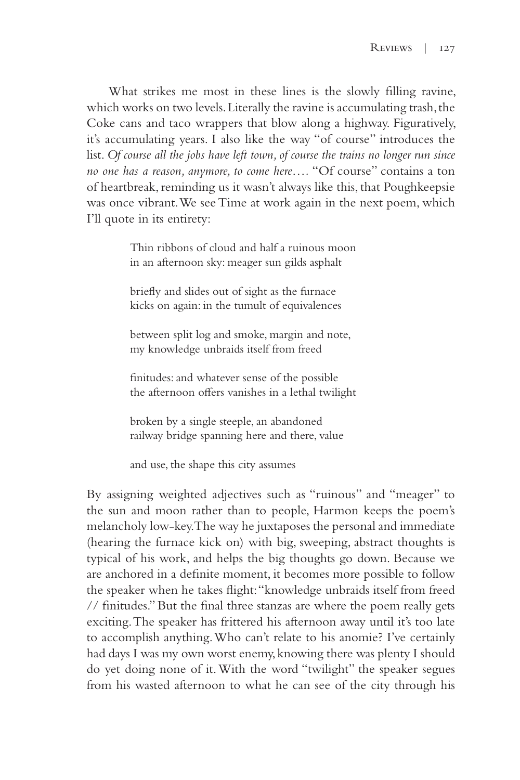What strikes me most in these lines is the slowly filling ravine, which works on two levels. Literally the ravine is accumulating trash, the Coke cans and taco wrappers that blow along a highway. Figuratively, it's accumulating years. I also like the way "of course" introduces the list. *Of course all the jobs have left town, of course the trains no longer run since no one has a reason, anymore, to come here….* "Of course" contains a ton of heartbreak, reminding us it wasn't always like this, that Poughkeepsie was once vibrant. We see Time at work again in the next poem, which I'll quote in its entirety:

> Thin ribbons of cloud and half a ruinous moon in an afternoon sky: meager sun gilds asphalt

briefly and slides out of sight as the furnace kicks on again: in the tumult of equivalences

between split log and smoke, margin and note, my knowledge unbraids itself from freed

finitudes: and whatever sense of the possible the afternoon offers vanishes in a lethal twilight

broken by a single steeple, an abandoned railway bridge spanning here and there, value

and use, the shape this city assumes

By assigning weighted adjectives such as "ruinous" and "meager" to the sun and moon rather than to people, Harmon keeps the poem's melancholy low-key. The way he juxtaposes the personal and immediate (hearing the furnace kick on) with big, sweeping, abstract thoughts is typical of his work, and helps the big thoughts go down. Because we are anchored in a definite moment, it becomes more possible to follow the speaker when he takes flight: "knowledge unbraids itself from freed // finitudes." But the final three stanzas are where the poem really gets exciting. The speaker has frittered his afternoon away until it's too late to accomplish anything. Who can't relate to his anomie? I've certainly had days I was my own worst enemy, knowing there was plenty I should do yet doing none of it. With the word "twilight" the speaker segues from his wasted afternoon to what he can see of the city through his